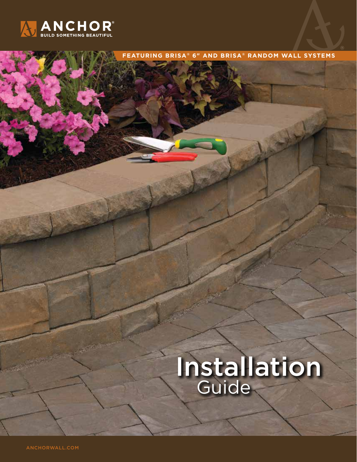

# Installation **Guide**

**FEATURING BRISA ® 6" AND BRISA ® RANDOM WALL SYSTEMS**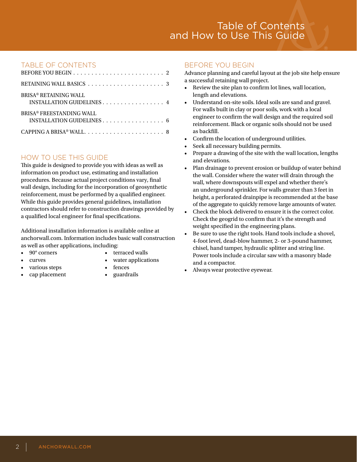# TABLE OF CONTENTS

| <b>BRISA® RETAINING WALL</b><br>INSTALLATION GUIDELINES 4 |
|-----------------------------------------------------------|
| BRISA® FREESTANDING WALL                                  |
|                                                           |

# HOW TO USE THIS GUIDE

This guide is designed to provide you with ideas as well as information on product use, estimating and installation procedures. Because actual project conditions vary, final wall design, including for the incorporation of geosynthetic reinforcement, must be performed by a qualified engineer. While this guide provides general guidelines, installation contractors should refer to construction drawings provided by a qualified local engineer for final specifications.

Additional installation information is available online at anchorwall.com. Information includes basic wall construction as well as other applications, including:

- 
- 
- 90° corners terraced walls
	- extended to the value of the value of the value of the value of the value of the value of the value of the value of the value of the value of the value of the value of the value of the value of the value of the value of th
- various steps fences
- cap placement guardrails
- 
- -

## BEFORE YOU BEGIN

Advance planning and careful layout at the job site help ensure a successful retaining wall project.

- Review the site plan to confirm lot lines, wall location, length and elevations.
- Understand on-site soils. Ideal soils are sand and gravel. For walls built in clay or poor soils, work with a local engineer to confirm the wall design and the required soil reinforcement. Black or organic soils should not be used as backfill.
- Confirm the location of underground utilities.
- Seek all necessary building permits.
- Prepare a drawing of the site with the wall location, lengths and elevations.
- Plan drainage to prevent erosion or buildup of water behind the wall. Consider where the water will drain through the wall, where downspouts will expel and whether there's an underground sprinkler. For walls greater than 3 feet in height, a perforated drainpipe is recommended at the base of the aggregate to quickly remove large amounts of water.
- Check the block delivered to ensure it is the correct color. Check the geogrid to confirm that it's the strength and weight specified in the engineering plans.
- Be sure to use the right tools. Hand tools include a shovel, 4-foot level, dead-blow hammer, 2- or 3-pound hammer, chisel, hand tamper, hydraulic splitter and string line. Power tools include a circular saw with a masonry blade and a compactor.
- Always wear protective eyewear.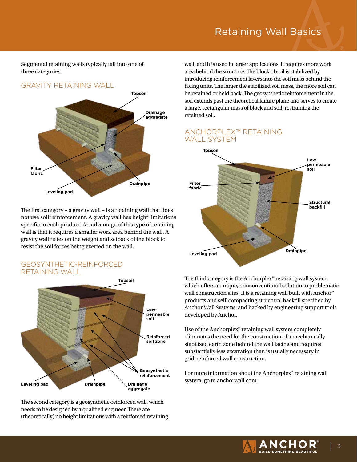Segmental retaining walls typically fall into one of three categories.

# GRAVITY RETAINING WALL



The first category – a gravity wall – is a retaining wall that does not use soil reinforcement. A gravity wall has height limitations specific to each product. An advantage of this type of retaining wall is that it requires a smaller work area behind the wall. A gravity wall relies on the weight and setback of the block to resist the soil forces being exerted on the wall.

## GEOSYNTHETIC-REINFORCED RETAINING WALL



The second category is a geosynthetic-reinforced wall, which needs to be designed by a qualified engineer. There are (theoretically) no height limitations with a reinforced retaining wall, and it is used in larger applications. It requires more work area behind the structure. The block of soil is stabilized by introducing reinforcement layers into the soil mass behind the facing units. The larger the stabilized soil mass, the more soil can be retained or held back. The geosynthetic reinforcement in the soil extends past the theoretical failure plane and serves to create a large, rectangular mass of block and soil, restraining the retained soil.

# ANCHORPLEX™ RETAINING WALL SYSTEM



The third category is the Anchorplex™ retaining wall system, which offers a unique, nonconventional solution to problematic wall construction sites. It is a retaining wall built with Anchor™ products and self-compacting structural backfill specified by Anchor Wall Systems, and backed by engineering support tools developed by Anchor.

Use of the Anchorplex™ retaining wall system completely eliminates the need for the construction of a mechanically stabilized earth zone behind the wall facing and requires substantially less excavation than is usually necessary in grid-reinforced wall construction.

For more information about the Anchorplex™ retaining wall system, go to anchorwall.com.

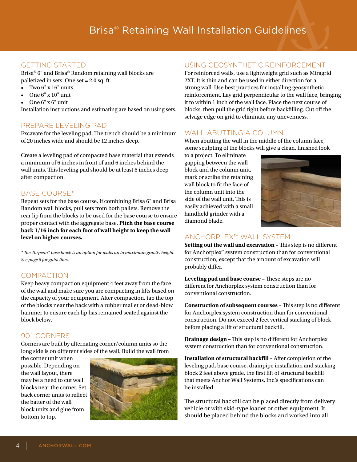# GETTING STARTED

Brisa® 6" and Brisa® Random retaining wall blocks are palletized in sets. One set = 2.0 sq. ft.

- Two 6" x 16" units
- $\bullet$  One  $6" \times 10"$  unit
- One 6" x 6" unit

Installation instructions and estimating are based on using sets.

## PREPARE LEVELING PAD

Excavate for the leveling pad. The trench should be a minimum of 20 inches wide and should be 12 inches deep.

Create a leveling pad of compacted base material that extends a minimum of 6 inches in front of and 6 inches behind the wall units. This leveling pad should be at least 6 inches deep after compaction.

## BASE COURSE\*

Repeat sets for the base course. If combining Brisa 6" and Brisa Random wall blocks, pull sets from both pallets. Remove the rear lip from the blocks to be used for the base course to ensure proper contact with the aggregate base.**Pitch the base course back 1/16 inch for each foot of wall height to keep the wall level on higher courses.**

*\* The Torpedo™ base block is an option for walls up to maximum gravity height. See page 6 for guidelines.*

# **COMPACTION**

Keep heavy compaction equipment 4 feet away from the face of the wall and make sure you are compacting in lifts based on the capacity of your equipment. After compaction, tap the top of the blocks near the back with a rubber mallet or dead-blow hammer to ensure each lip has remained seated against the block below.

# 90˚ CORNERS

Corners are built by alternating corner/column units so the long side is on different sides of the wall. Build the wall from

the corner unit when possible. Depending on the wall layout, there may be a need to cut wall blocks near the corner. Set back corner units to reflect the batter of the wall block units and glue from bottom to top.



## USING GEOSYNTHETIC REINFORCEMENT

For reinforced walls, use a lightweight grid such as Miragrid 2XT. It is thin and can be used in either direction for a strong wall. Use best practices for installing geosynthetic reinforcement. Lay grid perpendicular to the wall face, bringing it to within 1 inch of the wall face. Place the next course of blocks, then pull the grid tight before backfilling. Cut off the selvage edge on grid to eliminate any unevenness.

# WALL ABUTTING A COLUMN

When abutting the wall in the middle of the column face, some sculpting of the blocks will give a clean, finished look

to a project. To eliminate gapping between the wall block and the column unit, mark or scribe the retaining wall block to fit the face of the column unit into the side of the wall unit. This is easily achieved with a small handheld grinder with a diamond blade.



# ANCHORPLEX™ WALL SYSTEM

**Setting out the wall and excavation –** This step is no different for Anchorplex™ system construction than for conventional construction, except that the amount of excavation will probably differ.

**Leveling pad and base course –** These steps are no different for Anchorplex system construction than for conventional construction.

**Construction of subsequent courses –** This step is no different for Anchorplex system construction than for conventional construction. Do not exceed 2 feet vertical stacking of block before placing a lift of structural backfill.

**Drainage design –** This step is no different for Anchorplex system construction than for conventional construction.

**Installation of structural backfill –** After completion of the leveling pad, base course, drainpipe installation and stacking block 2 feet above grade, the first lift of structural backfill that meets Anchor Wall Systems, Inc.'s specifications can be installed.

The structural backfill can be placed directly from delivery vehicle or with skid-type loader or other equipment. It should be placed behind the blocks and worked into all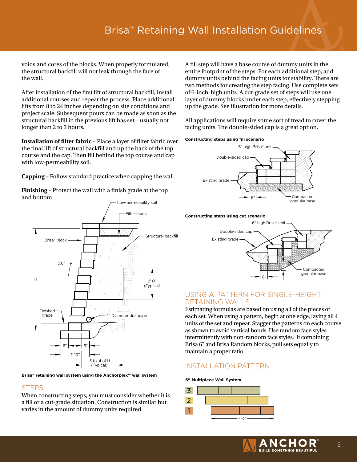voids and cores of the blocks. When properly formulated, the structural backfill will not leak through the face of the wall.

After installation of the first lift of structural backfill, install additional courses and repeat the process. Place additional lifts from 8 to 24 inches depending on site conditions and project scale. Subsequent pours can be made as soon as the structural backfill in the previous lift has set – usually not longer than 2 to 3 hours.

**Installation of filter fabric –** Place a layer of filter fabric over the final lift of structural backfill and up the back of the top course and the cap. Then fill behind the top course and cap with low-permeability soil.

**Capping –** Follow standard practice when capping the wall.

**Finishing –** Protect the wall with a finish grade at the top and bottom.



**Brisa® retaining wall system using the Anchorplex™ wall system**

# **STEPS**

When constructing steps, you must consider whether it is a fill or a cut-grade situation. Construction is similar but varies in the amount of dummy units required.

A fill step will have a base course of dummy units in the entire footprint of the steps. For each additional step, add dummy units behind the facing units for stability. There are two methods for creating the step facing. Use complete sets of 6-inch-high units. A cut-grade set of steps will use one layer of dummy blocks under each step, effectively stepping up the grade. See illustration for more details.

All applications will require some sort of tread to cover the facing units. The double-sided cap is a great option.

#### **Constructing steps using fill scenario**



#### **Constructing steps using cut scenario**



## USING A PATTERN FOR SINGLE-HEIGHT RETAINING WALLS

Estimating formulas are based on using all of the pieces of each set. When using a pattern, begin at one edge, laying all 4 units of the set and repeat. Stagger the patterns on each course as shown to avoid vertical bonds. Use random face styles intermittently with non-random face styles. If combining Brisa 6" and Brisa Random blocks, pull sets equally to maintain a proper ratio.

# INSTALLATION PATTERN

#### **6" Multipiece Wall System**



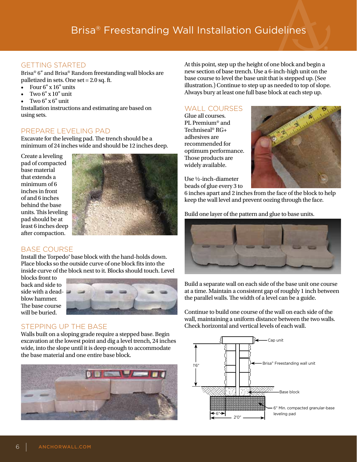# GETTING STARTED

Brisa® 6" and Brisa® Random freestanding wall blocks are palletized in sets. One set = 2.0 sq. ft.

- Four  $6" \times 16"$  units
- Two 6" x 10" unit
- $Two 6" x 6" unit$

Installation instructions and estimating are based on using sets.

## PREPARE LEVELING PAD

Excavate for the leveling pad. The trench should be a minimum of 24 inches wide and should be 12 inches deep.

Create a leveling pad of compacted base material that extends a minimum of 6 inches in front of and 6 inches behind the base units. This leveling pad should be at least 6 inches deep after compaction.



# BASE COURSE

Install the Torpedo® base block with the hand-holds down. Place blocks so the outside curve of one block fits into the inside curve of the block next to it. Blocks should touch. Level

blocks front to back and side to side with a deadblow hammer. The base course will be buried.



# STEPPING UP THE BASE

Walls built on a sloping grade require a stepped base. Begin excavation at the lowest point and dig a level trench, 24 inches wide, into the slope until it is deep enough to accommodate the base material and one entire base block.



At this point, step up the height of one block and begin a new section of base trench. Use a 6-inch-high unit on the base course to level the base unit that is stepped up. (See illustration.) Continue to step up as needed to top of slope. Always bury at least one full base block at each step up.

# WALL COURSES

Glue all courses. PL Premium® and Techniseal® RG+ adhesives are recommended for optimum performance. Those products are widely available.

Use ½-inch-diameter beads of glue every 3 to



6 inches apart and 2 inches from the face of the block to help keep the wall level and prevent oozing through the face.

Build one layer of the pattern and glue to base units.



Build a separate wall on each side of the base unit one course at a time. Maintain a consistent gap of roughly 1 inch between the parallel walls. The width of a level can be a guide.

Continue to build one course of the wall on each side of the wall, maintaining a uniform distance between the two walls. Check horizontal and vertical levels of each wall.

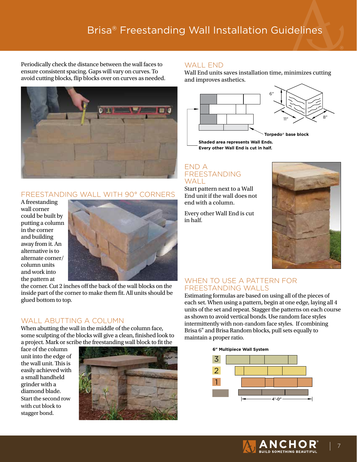Periodically check the distance between the wall faces to ensure consistent spacing. Gaps will vary on curves. To avoid cutting blocks, flip blocks over on curves as needed.



## FREESTANDING WALL WITH 90° CORNERS

A freestanding wall corner could be built by putting a column in the corner and building away from it. An alternative is to alternate corner/ column units and work into the pattern at



the corner. Cut 2 inches off the back of the wall blocks on the inside part of the corner to make them fit. All units should be glued bottom to top.

# WALL ABUTTING A COLUMN

When abutting the wall in the middle of the column face, some sculpting of the blocks will give a clean, finished look to a project. Mark or scribe the freestanding wall block to fit the

face of the column unit into the edge of the wall unit. This is easily achieved with a small handheld grinder with a diamond blade. Start the second row with cut block to stagger bond.



## WALL FND

Wall End units saves installation time, minimizes cutting and improves asthetics.



**Shaded area represents Wall Ends. Every other Wall End is cut in half.**

## END A FREESTANDING WAI I

Start pattern next to a Wall End unit if the wall does not end with a column.

Every other Wall End is cut in half.



## WHEN TO USE A PATTERN FOR FREESTANDING WALLS

Estimating formulas are based on using all of the pieces of each set. When using a pattern, begin at one edge, laying all 4 units of the set and repeat. Stagger the patterns on each course as shown to avoid vertical bonds. Use random face styles intermittently with non-random face styles. If combining Brisa 6" and Brisa Random blocks, pull sets equally to maintain a proper ratio.

**6" Multipiece Wall System**